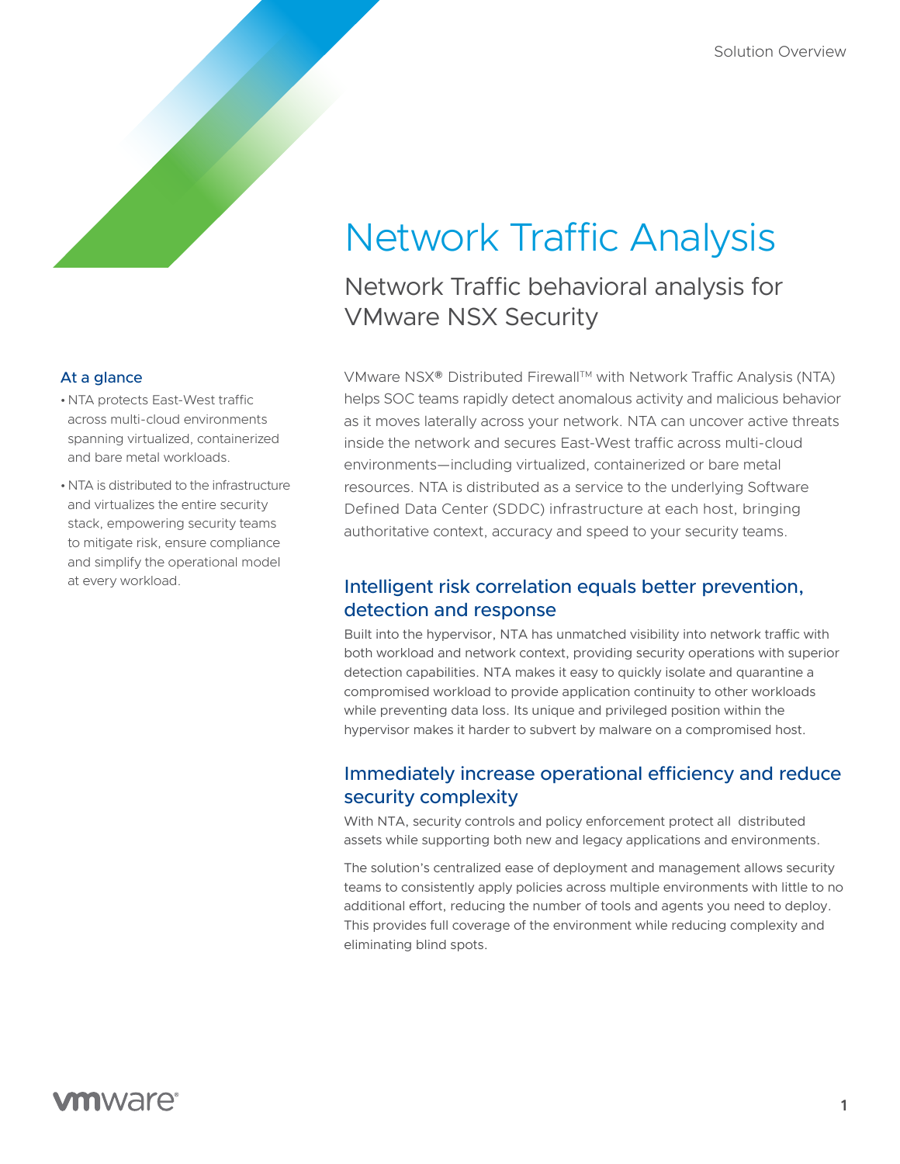# Network Traffic Analysis

Network Traffic behavioral analysis for VMware NSX Security

VMware NSX® Distributed Firewall™ with Network Traffic Analysis (NTA) helps SOC teams rapidly detect anomalous activity and malicious behavior as it moves laterally across your network. NTA can uncover active threats inside the network and secures East-West traffic across multi-cloud environments—including virtualized, containerized or bare metal resources. NTA is distributed as a service to the underlying Software Defined Data Center (SDDC) infrastructure at each host, bringing authoritative context, accuracy and speed to your security teams.

## Intelligent risk correlation equals better prevention, detection and response

Built into the hypervisor, NTA has unmatched visibility into network traffic with both workload and network context, providing security operations with superior detection capabilities. NTA makes it easy to quickly isolate and quarantine a compromised workload to provide application continuity to other workloads while preventing data loss. Its unique and privileged position within the hypervisor makes it harder to subvert by malware on a compromised host.

## Immediately increase operational efficiency and reduce security complexity

With NTA, security controls and policy enforcement protect all distributed assets while supporting both new and legacy applications and environments.

The solution's centralized ease of deployment and management allows security teams to consistently apply policies across multiple environments with little to no additional effort, reducing the number of tools and agents you need to deploy. This provides full coverage of the environment while reducing complexity and eliminating blind spots.

#### At a glance

- •NTA protects East-West traffic across multi-cloud environments spanning virtualized, containerized and bare metal workloads.
- •NTA is distributed to the infrastructure and virtualizes the entire security stack, empowering security teams to mitigate risk, ensure compliance and simplify the operational model at every workload.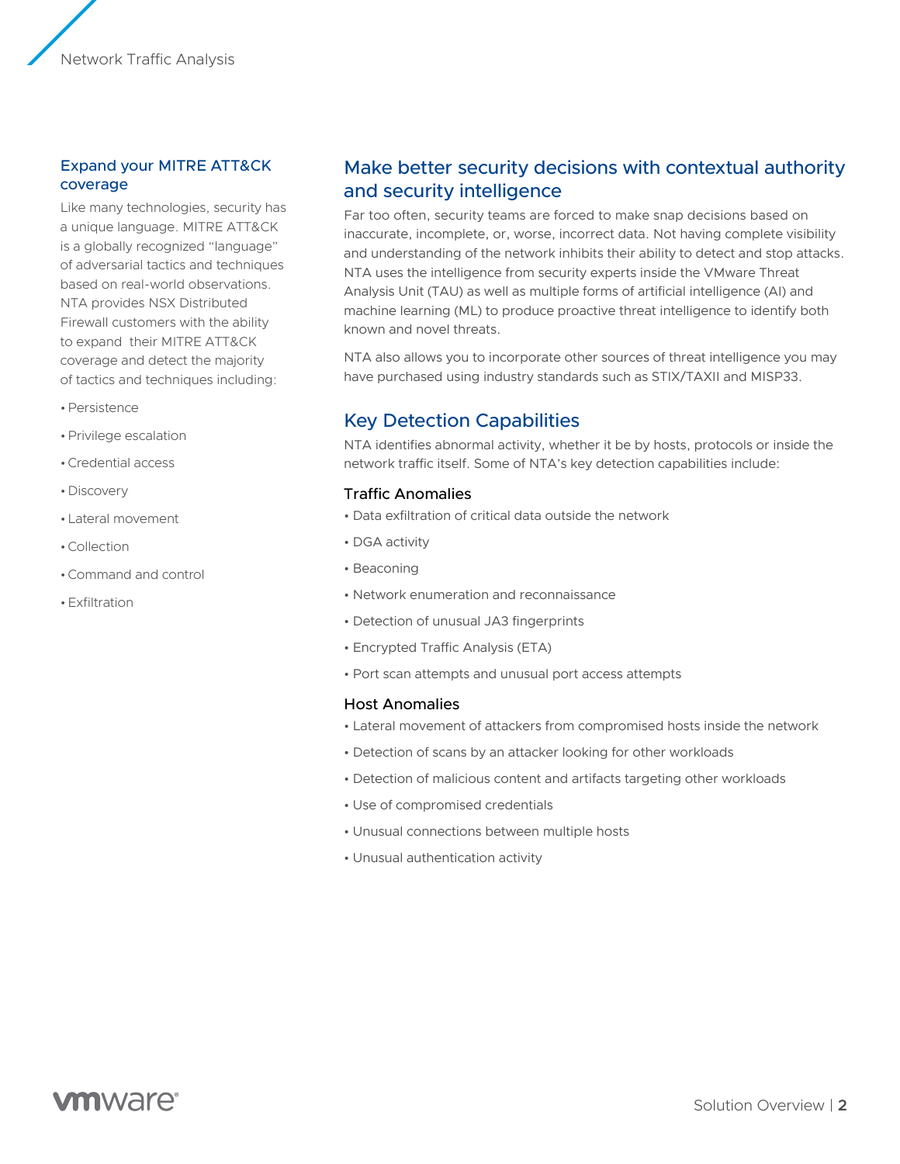Network Traffic Analysis

#### Expand your MITRE ATT&CK coverage

Like many technologies, security has a unique language. MITRE ATT&CK is a globally recognized "language" of adversarial tactics and techniques based on real-world observations. NTA provides NSX Distributed Firewall customers with the ability to expand their MITRE ATT&CK coverage and detect the majority of tactics and techniques including:

- •Persistence
- •Privilege escalation
- •Credential access
- •Discovery
- •Lateral movement
- •Collection
- •Command and control
- •Exfiltration

### Make better security decisions with contextual authority and security intelligence

Far too often, security teams are forced to make snap decisions based on inaccurate, incomplete, or, worse, incorrect data. Not having complete visibility and understanding of the network inhibits their ability to detect and stop attacks. NTA uses the intelligence from security experts inside the VMware Threat Analysis Unit (TAU) as well as multiple forms of artificial intelligence (AI) and machine learning (ML) to produce proactive threat intelligence to identify both known and novel threats.

NTA also allows you to incorporate other sources of threat intelligence you may have purchased using industry standards such as STIX/TAXII and MISP33.

## Key Detection Capabilities

NTA identifies abnormal activity, whether it be by hosts, protocols or inside the network traffic itself. Some of NTA's key detection capabilities include:

#### Traffic Anomalies

- Data exfiltration of critical data outside the network
- DGA activity
- Beaconing
- Network enumeration and reconnaissance
- Detection of unusual JA3 fingerprints
- Encrypted Traffic Analysis (ETA)
- Port scan attempts and unusual port access attempts

#### Host Anomalies

- Lateral movement of attackers from compromised hosts inside the network
- Detection of scans by an attacker looking for other workloads
- Detection of malicious content and artifacts targeting other workloads
- Use of compromised credentials
- Unusual connections between multiple hosts
- Unusual authentication activity

## **vm**ware<sup>®</sup>